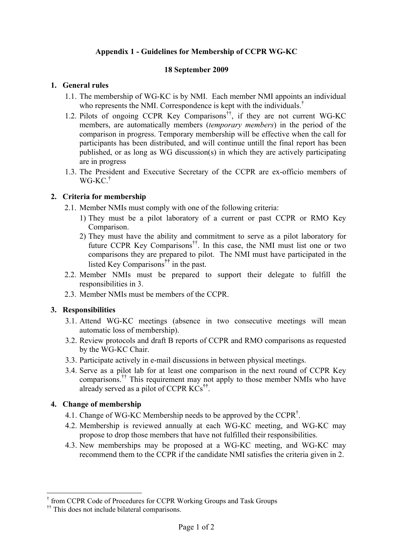# **Appendix 1 - Guidelines for Membership of CCPR WG-KC**

#### **18 September 2009**

### **1. General rules**

- 1.1. The membership of WG-KC is by NMI. Each member NMI appoints an individual who represents the NMI. Correspondence is kept with the individuals.<sup>†</sup>
- 1.2. Pilots of ongoing CCPR Key Comparisons††, if they are not current WG-KC members, are automatically members (*temporary members*) in the period of the comparison in progress. Temporary membership will be effective when the call for participants has been distributed, and will continue untill the final report has been published, or as long as WG discussion(s) in which they are actively participating are in progress
- 1.3. The President and Executive Secretary of the CCPR are ex-officio members of WG-KC.†

### **2. Criteria for membership**

- 2.1. Member NMIs must comply with one of the following criteria:
	- 1) They must be a pilot laboratory of a current or past CCPR or RMO Key Comparison.
	- 2) They must have the ability and commitment to serve as a pilot laboratory for future CCPR Key Comparisons††. In this case, the NMI must list one or two comparisons they are prepared to pilot. The NMI must have participated in the listed Key Comparisons**††** in the past.
- 2.2. Member NMIs must be prepared to support their delegate to fulfill the responsibilities in 3.
- 2.3. Member NMIs must be members of the CCPR.

### **3. Responsibilities**

- 3.1. Attend WG-KC meetings (absence in two consecutive meetings will mean automatic loss of membership).
- 3.2. Review protocols and draft B reports of CCPR and RMO comparisons as requested by the WG-KC Chair.
- 3.3. Participate actively in e-mail discussions in between physical meetings.
- 3.4. Serve as a pilot lab for at least one comparison in the next round of CCPR Key comparisons.†† This requirement may not apply to those member NMIs who have already served as a pilot of CCPR KCs**††**.

### **4. Change of membership**

1

- 4.1. Change of WG-KC Membership needs to be approved by the CCPR<sup>†</sup>.
- 4.2. Membership is reviewed annually at each WG-KC meeting, and WG-KC may propose to drop those members that have not fulfilled their responsibilities.
- 4.3. New memberships may be proposed at a WG-KC meeting, and WG-KC may recommend them to the CCPR if the candidate NMI satisfies the criteria given in 2.

<sup>†</sup> from CCPR Code of Procedures for CCPR Working Groups and Task Groups

<sup>&</sup>lt;sup>††</sup> This does not include bilateral comparisons.